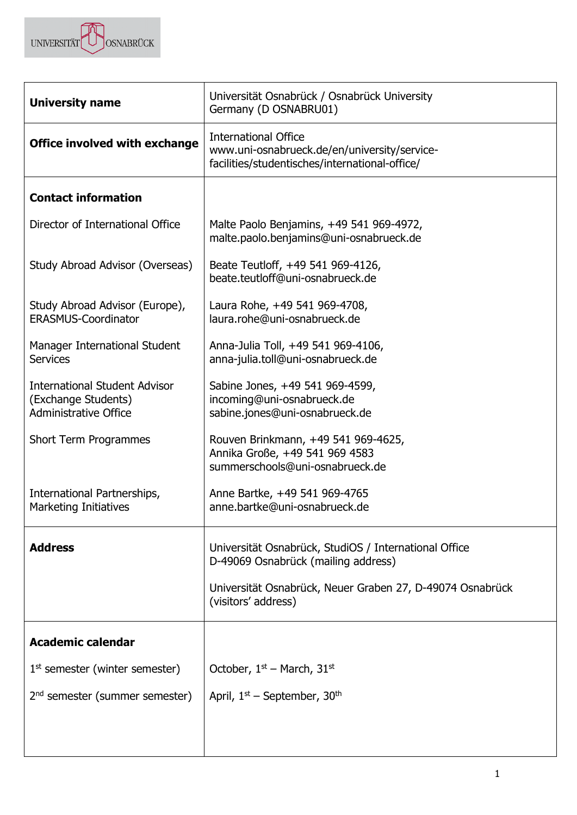

| <b>University name</b>                                                                      | Universität Osnabrück / Osnabrück University<br>Germany (D OSNABRU01)                                                         |  |  |  |
|---------------------------------------------------------------------------------------------|-------------------------------------------------------------------------------------------------------------------------------|--|--|--|
| <b>Office involved with exchange</b>                                                        | <b>International Office</b><br>www.uni-osnabrueck.de/en/university/service-<br>facilities/studentisches/international-office/ |  |  |  |
| <b>Contact information</b>                                                                  |                                                                                                                               |  |  |  |
| Director of International Office                                                            | Malte Paolo Benjamins, +49 541 969-4972,<br>malte.paolo.benjamins@uni-osnabrueck.de                                           |  |  |  |
| Study Abroad Advisor (Overseas)                                                             | Beate Teutloff, +49 541 969-4126,<br>beate.teutloff@uni-osnabrueck.de                                                         |  |  |  |
| Study Abroad Advisor (Europe),<br><b>ERASMUS-Coordinator</b>                                | Laura Rohe, +49 541 969-4708,<br>laura.rohe@uni-osnabrueck.de                                                                 |  |  |  |
| Manager International Student<br><b>Services</b>                                            | Anna-Julia Toll, +49 541 969-4106,<br>anna-julia.toll@uni-osnabrueck.de                                                       |  |  |  |
| <b>International Student Advisor</b><br>(Exchange Students)<br><b>Administrative Office</b> | Sabine Jones, +49 541 969-4599,<br>incoming@uni-osnabrueck.de<br>sabine.jones@uni-osnabrueck.de                               |  |  |  |
| <b>Short Term Programmes</b>                                                                | Rouven Brinkmann, +49 541 969-4625,<br>Annika Große, +49 541 969 4583<br>summerschools@uni-osnabrueck.de                      |  |  |  |
| International Partnerships,<br><b>Marketing Initiatives</b>                                 | Anne Bartke, +49 541 969-4765<br>anne.bartke@uni-osnabrueck.de                                                                |  |  |  |
| <b>Address</b>                                                                              | Universität Osnabrück, StudiOS / International Office<br>D-49069 Osnabrück (mailing address)                                  |  |  |  |
|                                                                                             | Universität Osnabrück, Neuer Graben 27, D-49074 Osnabrück<br>(visitors' address)                                              |  |  |  |
| <b>Academic calendar</b>                                                                    |                                                                                                                               |  |  |  |
| $1st$ semester (winter semester)                                                            | October, $1st$ – March, 31 <sup>st</sup>                                                                                      |  |  |  |
| 2 <sup>nd</sup> semester (summer semester)                                                  | April, $1st$ – September, 30 <sup>th</sup>                                                                                    |  |  |  |
|                                                                                             |                                                                                                                               |  |  |  |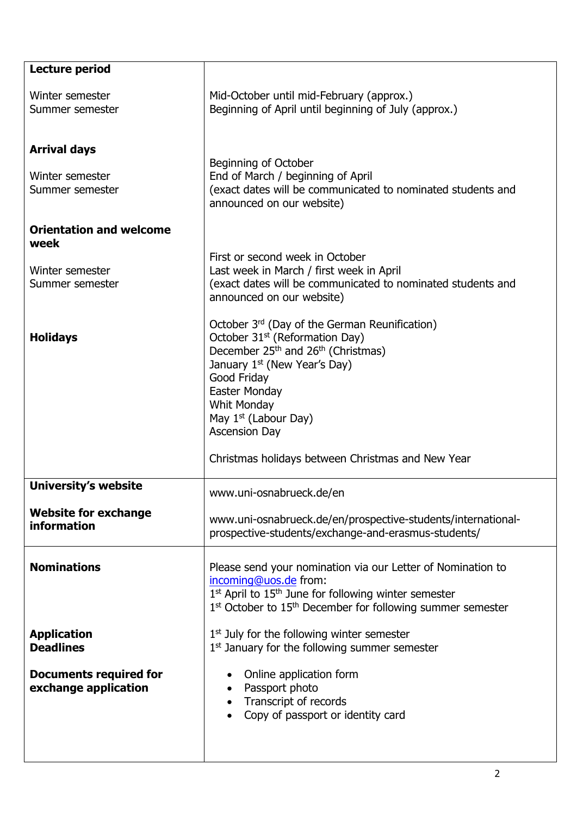| Lecture period                                            |                                                                                                                                                                                                                                                                                                                                                             |
|-----------------------------------------------------------|-------------------------------------------------------------------------------------------------------------------------------------------------------------------------------------------------------------------------------------------------------------------------------------------------------------------------------------------------------------|
| Winter semester<br>Summer semester                        | Mid-October until mid-February (approx.)<br>Beginning of April until beginning of July (approx.)                                                                                                                                                                                                                                                            |
| <b>Arrival days</b><br>Winter semester<br>Summer semester | Beginning of October<br>End of March / beginning of April<br>(exact dates will be communicated to nominated students and<br>announced on our website)                                                                                                                                                                                                       |
| <b>Orientation and welcome</b><br>week                    |                                                                                                                                                                                                                                                                                                                                                             |
| Winter semester<br>Summer semester                        | First or second week in October<br>Last week in March / first week in April<br>(exact dates will be communicated to nominated students and<br>announced on our website)                                                                                                                                                                                     |
| <b>Holidays</b>                                           | October 3rd (Day of the German Reunification)<br>October 31 <sup>st</sup> (Reformation Day)<br>December 25 <sup>th</sup> and 26 <sup>th</sup> (Christmas)<br>January 1 <sup>st</sup> (New Year's Day)<br>Good Friday<br>Easter Monday<br>Whit Monday<br>May $1st$ (Labour Day)<br><b>Ascension Day</b><br>Christmas holidays between Christmas and New Year |
| <b>University's website</b>                               | www.uni-osnabrueck.de/en                                                                                                                                                                                                                                                                                                                                    |
| <b>Website for exchange</b><br>information                | www.uni-osnabrueck.de/en/prospective-students/international-<br>prospective-students/exchange-and-erasmus-students/                                                                                                                                                                                                                                         |
| <b>Nominations</b>                                        | Please send your nomination via our Letter of Nomination to<br>incoming@uos.de from:<br>1st April to 15 <sup>th</sup> June for following winter semester<br>1 <sup>st</sup> October to 15 <sup>th</sup> December for following summer semester                                                                                                              |
| <b>Application</b><br><b>Deadlines</b>                    | $1st$ July for the following winter semester<br>1 <sup>st</sup> January for the following summer semester                                                                                                                                                                                                                                                   |
| <b>Documents required for</b><br>exchange application     | Online application form<br>Passport photo<br>Transcript of records<br>Copy of passport or identity card                                                                                                                                                                                                                                                     |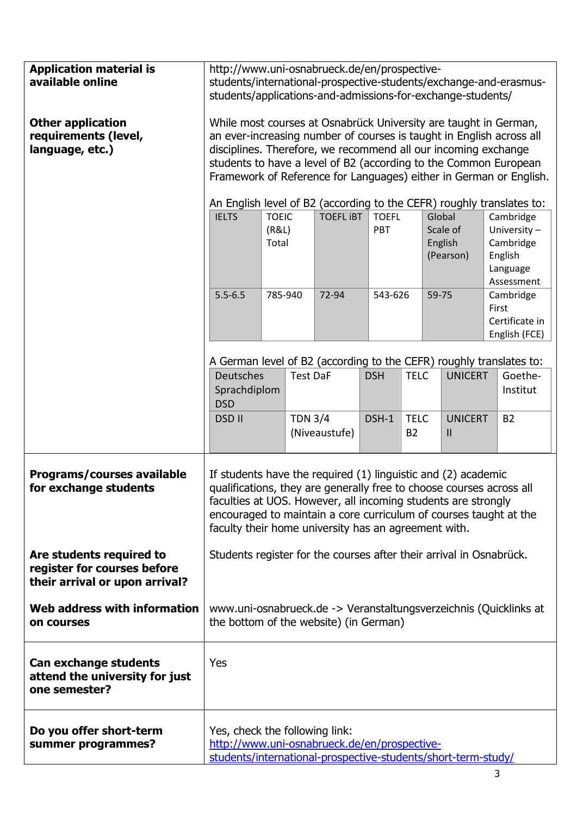| <b>Application material is</b><br>available online<br><b>Other application</b><br>requirements (level,<br>language, etc.) | http://www.uni-osnabrueck.de/en/prospective-<br>students/international-prospective-students/exchange-and-erasmus-<br>students/applications-and-admissions-for-exchange-students/<br>While most courses at Osnabrück University are taught in German,<br>an ever-increasing number of courses is taught in English across all<br>disciplines. Therefore, we recommend all our incoming exchange<br>students to have a level of B2 (according to the Common European<br>Framework of Reference for Languages) either in German or English.<br>An English level of B2 (according to the CEFR) roughly translates to:<br><b>TOEIC</b><br><b>IELTS</b><br><b>TOEFL IBT</b><br><b>TOEFL</b><br>Global<br>(R&L)<br>PBT<br>Scale of<br>Total<br>English<br>(Pearson) |         | Cambridge<br>University-<br>Cambridge<br>English<br>Language<br>Assessment |               |            |                          |       |                                 |       |                                              |
|---------------------------------------------------------------------------------------------------------------------------|--------------------------------------------------------------------------------------------------------------------------------------------------------------------------------------------------------------------------------------------------------------------------------------------------------------------------------------------------------------------------------------------------------------------------------------------------------------------------------------------------------------------------------------------------------------------------------------------------------------------------------------------------------------------------------------------------------------------------------------------------------------|---------|----------------------------------------------------------------------------|---------------|------------|--------------------------|-------|---------------------------------|-------|----------------------------------------------|
|                                                                                                                           | $5.5 - 6.5$                                                                                                                                                                                                                                                                                                                                                                                                                                                                                                                                                                                                                                                                                                                                                  | 785-940 |                                                                            | 72-94         | 543-626    |                          | 59-75 |                                 | First | Cambridge<br>Certificate in<br>English (FCE) |
|                                                                                                                           | A German level of B2 (according to the CEFR) roughly translates to:<br><b>Deutsches</b><br>Sprachdiplom<br><b>DSD</b>                                                                                                                                                                                                                                                                                                                                                                                                                                                                                                                                                                                                                                        |         | <b>Test DaF</b>                                                            |               | <b>DSH</b> | <b>TELC</b>              |       | <b>UNICERT</b>                  |       | Goethe-<br>Institut                          |
|                                                                                                                           | <b>DSD II</b>                                                                                                                                                                                                                                                                                                                                                                                                                                                                                                                                                                                                                                                                                                                                                |         | <b>TDN 3/4</b>                                                             | (Niveaustufe) | DSH-1      | <b>TELC</b><br><b>B2</b> |       | <b>UNICERT</b><br>$\mathsf{II}$ |       | <b>B2</b>                                    |
| <b>Programs/courses available</b><br>for exchange students                                                                | If students have the required (1) linguistic and (2) academic<br>qualifications, they are generally free to choose courses across all<br>faculties at UOS. However, all incoming students are strongly<br>encouraged to maintain a core curriculum of courses taught at the<br>faculty their home university has an agreement with.                                                                                                                                                                                                                                                                                                                                                                                                                          |         |                                                                            |               |            |                          |       |                                 |       |                                              |
| Are students required to<br>register for courses before<br>their arrival or upon arrival?                                 | Students register for the courses after their arrival in Osnabrück.                                                                                                                                                                                                                                                                                                                                                                                                                                                                                                                                                                                                                                                                                          |         |                                                                            |               |            |                          |       |                                 |       |                                              |
| Web address with information<br>on courses                                                                                | www.uni-osnabrueck.de -> Veranstaltungsverzeichnis (Quicklinks at<br>the bottom of the website) (in German)                                                                                                                                                                                                                                                                                                                                                                                                                                                                                                                                                                                                                                                  |         |                                                                            |               |            |                          |       |                                 |       |                                              |
| <b>Can exchange students</b><br>attend the university for just<br>one semester?                                           | Yes                                                                                                                                                                                                                                                                                                                                                                                                                                                                                                                                                                                                                                                                                                                                                          |         |                                                                            |               |            |                          |       |                                 |       |                                              |
| Do you offer short-term<br>summer programmes?                                                                             | Yes, check the following link:<br>http://www.uni-osnabrueck.de/en/prospective-<br>students/international-prospective-students/short-term-study/                                                                                                                                                                                                                                                                                                                                                                                                                                                                                                                                                                                                              |         |                                                                            |               |            |                          |       |                                 |       |                                              |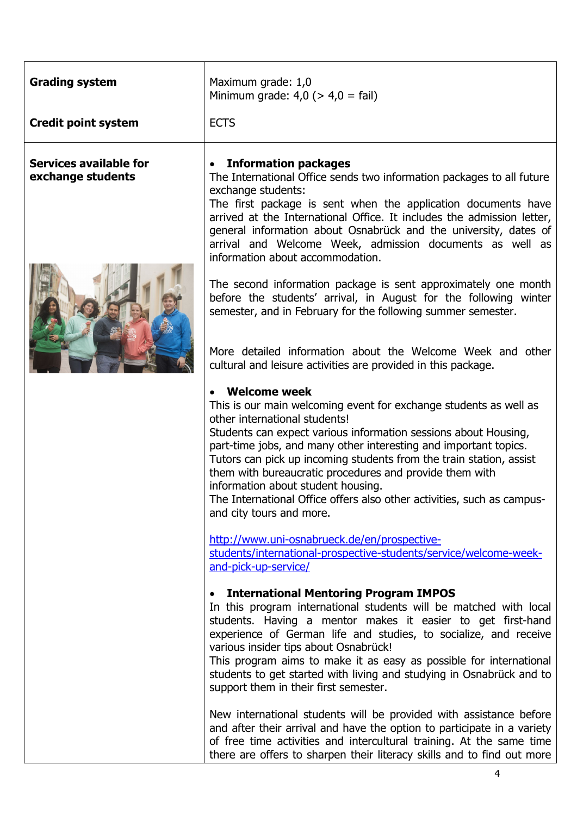| <b>Grading system</b>                              | Maximum grade: 1,0<br>Minimum grade: $4,0$ ( $> 4,0$ = fail)                                                                                                                                                                                                                                                                                                                                                                                                                                                                                   |
|----------------------------------------------------|------------------------------------------------------------------------------------------------------------------------------------------------------------------------------------------------------------------------------------------------------------------------------------------------------------------------------------------------------------------------------------------------------------------------------------------------------------------------------------------------------------------------------------------------|
| <b>Credit point system</b>                         | <b>ECTS</b>                                                                                                                                                                                                                                                                                                                                                                                                                                                                                                                                    |
| <b>Services available for</b><br>exchange students | <b>Information packages</b><br>$\bullet$<br>The International Office sends two information packages to all future<br>exchange students:                                                                                                                                                                                                                                                                                                                                                                                                        |
|                                                    | The first package is sent when the application documents have<br>arrived at the International Office. It includes the admission letter,<br>general information about Osnabrück and the university, dates of<br>arrival and Welcome Week, admission documents as well as<br>information about accommodation.                                                                                                                                                                                                                                    |
|                                                    | The second information package is sent approximately one month<br>before the students' arrival, in August for the following winter<br>semester, and in February for the following summer semester.                                                                                                                                                                                                                                                                                                                                             |
|                                                    | More detailed information about the Welcome Week and other<br>cultural and leisure activities are provided in this package.                                                                                                                                                                                                                                                                                                                                                                                                                    |
|                                                    | <b>Welcome week</b><br>This is our main welcoming event for exchange students as well as<br>other international students!<br>Students can expect various information sessions about Housing,<br>part-time jobs, and many other interesting and important topics.<br>Tutors can pick up incoming students from the train station, assist<br>them with bureaucratic procedures and provide them with<br>information about student housing.<br>The International Office offers also other activities, such as campus-<br>and city tours and more. |
|                                                    | http://www.uni-osnabrueck.de/en/prospective-<br>students/international-prospective-students/service/welcome-week-<br>and-pick-up-service/                                                                                                                                                                                                                                                                                                                                                                                                      |
|                                                    | <b>International Mentoring Program IMPOS</b><br>$\bullet$<br>In this program international students will be matched with local<br>students. Having a mentor makes it easier to get first-hand<br>experience of German life and studies, to socialize, and receive<br>various insider tips about Osnabrück!<br>This program aims to make it as easy as possible for international<br>students to get started with living and studying in Osnabrück and to<br>support them in their first semester.                                              |
|                                                    | New international students will be provided with assistance before<br>and after their arrival and have the option to participate in a variety<br>of free time activities and intercultural training. At the same time<br>there are offers to sharpen their literacy skills and to find out more                                                                                                                                                                                                                                                |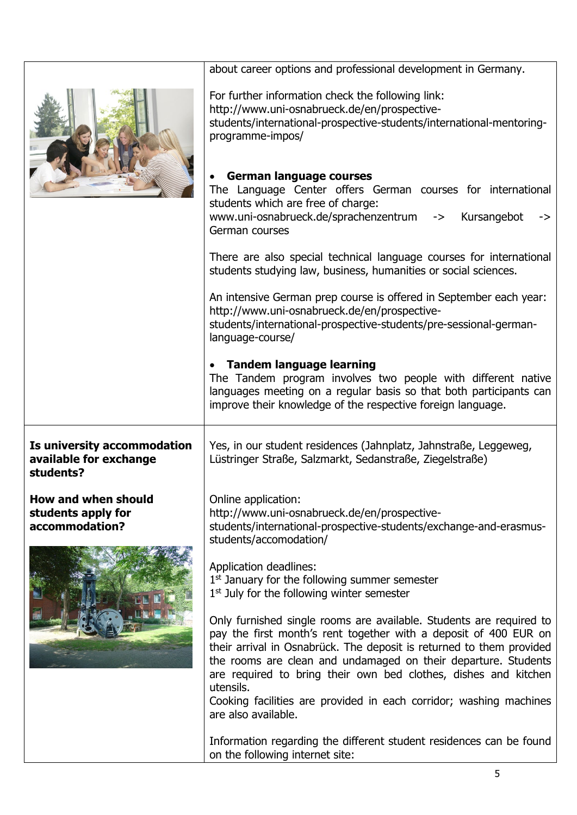| about career options and professional development in Germany.<br>For further information check the following link:<br>http://www.uni-osnabrueck.de/en/prospective-<br>students/international-prospective-students/international-mentoring-<br>programme-impos/<br><b>German language courses</b><br>The Language Center offers German courses for international<br>students which are free of charge:<br>www.uni-osnabrueck.de/sprachenzentrum -><br>Kursangebot<br>-><br>German courses<br>There are also special technical language courses for international<br>students studying law, business, humanities or social sciences.<br>An intensive German prep course is offered in September each year:<br>http://www.uni-osnabrueck.de/en/prospective-<br>students/international-prospective-students/pre-sessional-german-<br>language-course/<br>• Tandem language learning<br>The Tandem program involves two people with different native<br>languages meeting on a regular basis so that both participants can<br>improve their knowledge of the respective foreign language.<br>Is university accommodation<br>Yes, in our student residences (Jahnplatz, Jahnstraße, Leggeweg,<br>available for exchange<br>Lüstringer Straße, Salzmarkt, Sedanstraße, Ziegelstraße)<br>students?<br><b>How and when should</b><br>Online application:<br>http://www.uni-osnabrueck.de/en/prospective-<br>students apply for<br>accommodation?<br>students/international-prospective-students/exchange-and-erasmus-<br>students/accomodation/<br>Application deadlines:<br>1st January for the following summer semester<br>$1st$ July for the following winter semester<br>Only furnished single rooms are available. Students are required to<br>pay the first month's rent together with a deposit of 400 EUR on<br>their arrival in Osnabrück. The deposit is returned to them provided<br>the rooms are clean and undamaged on their departure. Students<br>are required to bring their own bed clothes, dishes and kitchen<br>utensils.<br>Cooking facilities are provided in each corridor; washing machines<br>are also available.<br>Information regarding the different student residences can be found<br>on the following internet site: |  |
|-----------------------------------------------------------------------------------------------------------------------------------------------------------------------------------------------------------------------------------------------------------------------------------------------------------------------------------------------------------------------------------------------------------------------------------------------------------------------------------------------------------------------------------------------------------------------------------------------------------------------------------------------------------------------------------------------------------------------------------------------------------------------------------------------------------------------------------------------------------------------------------------------------------------------------------------------------------------------------------------------------------------------------------------------------------------------------------------------------------------------------------------------------------------------------------------------------------------------------------------------------------------------------------------------------------------------------------------------------------------------------------------------------------------------------------------------------------------------------------------------------------------------------------------------------------------------------------------------------------------------------------------------------------------------------------------------------------------------------------------------------------------------------------------------------------------------------------------------------------------------------------------------------------------------------------------------------------------------------------------------------------------------------------------------------------------------------------------------------------------------------------------------------------------------------------------------------------------------------------------------|--|
|                                                                                                                                                                                                                                                                                                                                                                                                                                                                                                                                                                                                                                                                                                                                                                                                                                                                                                                                                                                                                                                                                                                                                                                                                                                                                                                                                                                                                                                                                                                                                                                                                                                                                                                                                                                                                                                                                                                                                                                                                                                                                                                                                                                                                                               |  |
|                                                                                                                                                                                                                                                                                                                                                                                                                                                                                                                                                                                                                                                                                                                                                                                                                                                                                                                                                                                                                                                                                                                                                                                                                                                                                                                                                                                                                                                                                                                                                                                                                                                                                                                                                                                                                                                                                                                                                                                                                                                                                                                                                                                                                                               |  |
|                                                                                                                                                                                                                                                                                                                                                                                                                                                                                                                                                                                                                                                                                                                                                                                                                                                                                                                                                                                                                                                                                                                                                                                                                                                                                                                                                                                                                                                                                                                                                                                                                                                                                                                                                                                                                                                                                                                                                                                                                                                                                                                                                                                                                                               |  |
|                                                                                                                                                                                                                                                                                                                                                                                                                                                                                                                                                                                                                                                                                                                                                                                                                                                                                                                                                                                                                                                                                                                                                                                                                                                                                                                                                                                                                                                                                                                                                                                                                                                                                                                                                                                                                                                                                                                                                                                                                                                                                                                                                                                                                                               |  |
|                                                                                                                                                                                                                                                                                                                                                                                                                                                                                                                                                                                                                                                                                                                                                                                                                                                                                                                                                                                                                                                                                                                                                                                                                                                                                                                                                                                                                                                                                                                                                                                                                                                                                                                                                                                                                                                                                                                                                                                                                                                                                                                                                                                                                                               |  |
|                                                                                                                                                                                                                                                                                                                                                                                                                                                                                                                                                                                                                                                                                                                                                                                                                                                                                                                                                                                                                                                                                                                                                                                                                                                                                                                                                                                                                                                                                                                                                                                                                                                                                                                                                                                                                                                                                                                                                                                                                                                                                                                                                                                                                                               |  |
|                                                                                                                                                                                                                                                                                                                                                                                                                                                                                                                                                                                                                                                                                                                                                                                                                                                                                                                                                                                                                                                                                                                                                                                                                                                                                                                                                                                                                                                                                                                                                                                                                                                                                                                                                                                                                                                                                                                                                                                                                                                                                                                                                                                                                                               |  |
|                                                                                                                                                                                                                                                                                                                                                                                                                                                                                                                                                                                                                                                                                                                                                                                                                                                                                                                                                                                                                                                                                                                                                                                                                                                                                                                                                                                                                                                                                                                                                                                                                                                                                                                                                                                                                                                                                                                                                                                                                                                                                                                                                                                                                                               |  |
|                                                                                                                                                                                                                                                                                                                                                                                                                                                                                                                                                                                                                                                                                                                                                                                                                                                                                                                                                                                                                                                                                                                                                                                                                                                                                                                                                                                                                                                                                                                                                                                                                                                                                                                                                                                                                                                                                                                                                                                                                                                                                                                                                                                                                                               |  |
|                                                                                                                                                                                                                                                                                                                                                                                                                                                                                                                                                                                                                                                                                                                                                                                                                                                                                                                                                                                                                                                                                                                                                                                                                                                                                                                                                                                                                                                                                                                                                                                                                                                                                                                                                                                                                                                                                                                                                                                                                                                                                                                                                                                                                                               |  |
|                                                                                                                                                                                                                                                                                                                                                                                                                                                                                                                                                                                                                                                                                                                                                                                                                                                                                                                                                                                                                                                                                                                                                                                                                                                                                                                                                                                                                                                                                                                                                                                                                                                                                                                                                                                                                                                                                                                                                                                                                                                                                                                                                                                                                                               |  |
|                                                                                                                                                                                                                                                                                                                                                                                                                                                                                                                                                                                                                                                                                                                                                                                                                                                                                                                                                                                                                                                                                                                                                                                                                                                                                                                                                                                                                                                                                                                                                                                                                                                                                                                                                                                                                                                                                                                                                                                                                                                                                                                                                                                                                                               |  |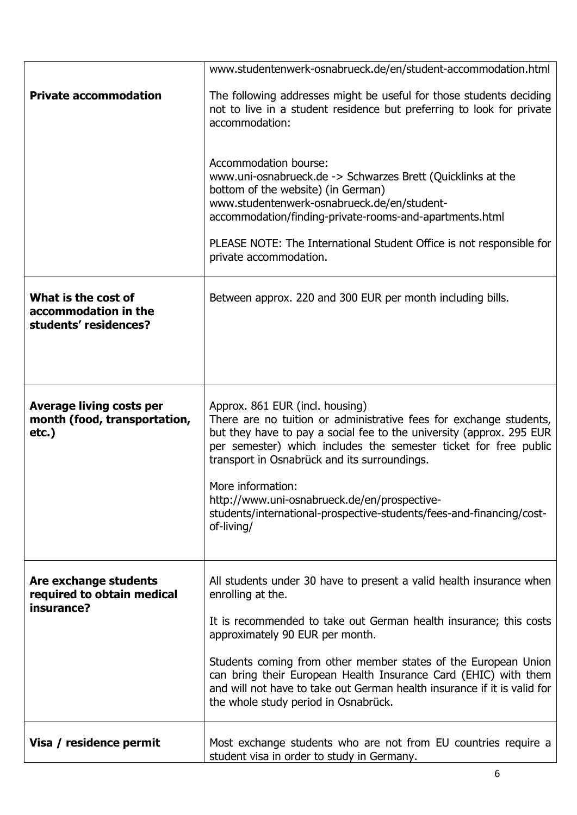|                                                                             | www.studentenwerk-osnabrueck.de/en/student-accommodation.html                                                                                                                                                                                                                                                                                                                                                                                                |
|-----------------------------------------------------------------------------|--------------------------------------------------------------------------------------------------------------------------------------------------------------------------------------------------------------------------------------------------------------------------------------------------------------------------------------------------------------------------------------------------------------------------------------------------------------|
| <b>Private accommodation</b>                                                | The following addresses might be useful for those students deciding<br>not to live in a student residence but preferring to look for private<br>accommodation:                                                                                                                                                                                                                                                                                               |
|                                                                             | Accommodation bourse:<br>www.uni-osnabrueck.de -> Schwarzes Brett (Quicklinks at the<br>bottom of the website) (in German)<br>www.studentenwerk-osnabrueck.de/en/student-<br>accommodation/finding-private-rooms-and-apartments.html<br>PLEASE NOTE: The International Student Office is not responsible for<br>private accommodation.                                                                                                                       |
| What is the cost of<br>accommodation in the<br>students' residences?        | Between approx. 220 and 300 EUR per month including bills.                                                                                                                                                                                                                                                                                                                                                                                                   |
| <b>Average living costs per</b><br>month (food, transportation,<br>$etc.$ ) | Approx. 861 EUR (incl. housing)<br>There are no tuition or administrative fees for exchange students,<br>but they have to pay a social fee to the university (approx. 295 EUR<br>per semester) which includes the semester ticket for free public<br>transport in Osnabrück and its surroundings.<br>More information:<br>http://www.uni-osnabrueck.de/en/prospective-<br>students/international-prospective-students/fees-and-financing/cost-<br>of-living/ |
| Are exchange students<br>required to obtain medical<br>insurance?           | All students under 30 have to present a valid health insurance when<br>enrolling at the.<br>It is recommended to take out German health insurance; this costs<br>approximately 90 EUR per month.<br>Students coming from other member states of the European Union<br>can bring their European Health Insurance Card (EHIC) with them<br>and will not have to take out German health insurance if it is valid for<br>the whole study period in Osnabrück.    |
| Visa / residence permit                                                     | Most exchange students who are not from EU countries require a<br>student visa in order to study in Germany.                                                                                                                                                                                                                                                                                                                                                 |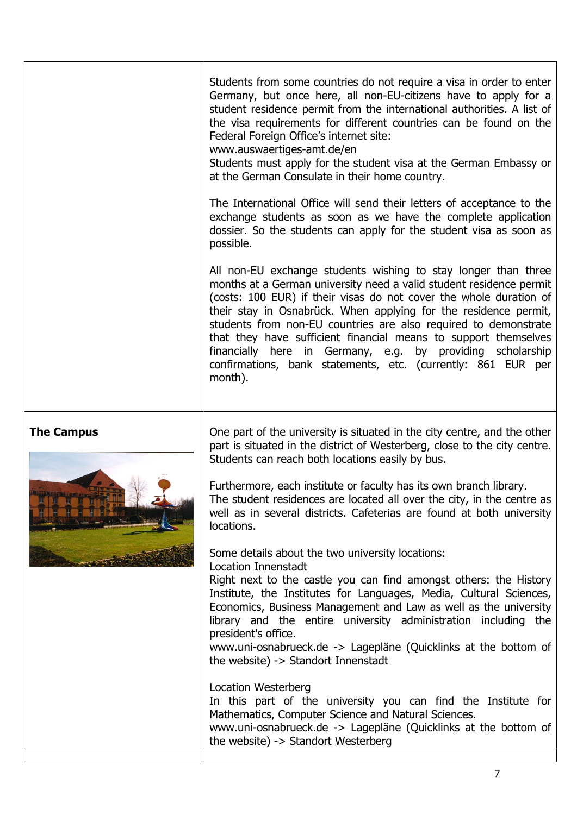|                   | Students from some countries do not require a visa in order to enter<br>Germany, but once here, all non-EU-citizens have to apply for a<br>student residence permit from the international authorities. A list of<br>the visa requirements for different countries can be found on the<br>Federal Foreign Office's internet site:<br>www.auswaertiges-amt.de/en<br>Students must apply for the student visa at the German Embassy or<br>at the German Consulate in their home country.                                                                         |
|-------------------|----------------------------------------------------------------------------------------------------------------------------------------------------------------------------------------------------------------------------------------------------------------------------------------------------------------------------------------------------------------------------------------------------------------------------------------------------------------------------------------------------------------------------------------------------------------|
|                   | The International Office will send their letters of acceptance to the<br>exchange students as soon as we have the complete application<br>dossier. So the students can apply for the student visa as soon as<br>possible.                                                                                                                                                                                                                                                                                                                                      |
|                   | All non-EU exchange students wishing to stay longer than three<br>months at a German university need a valid student residence permit<br>(costs: 100 EUR) if their visas do not cover the whole duration of<br>their stay in Osnabrück. When applying for the residence permit,<br>students from non-EU countries are also required to demonstrate<br>that they have sufficient financial means to support themselves<br>financially here in Germany, e.g. by providing scholarship<br>confirmations, bank statements, etc. (currently: 861 EUR per<br>month). |
| <b>The Campus</b> | One part of the university is situated in the city centre, and the other<br>part is situated in the district of Westerberg, close to the city centre.<br>Students can reach both locations easily by bus.<br>Furthermore, each institute or faculty has its own branch library.<br>The student residences are located all over the city, in the centre as<br>well as in several districts. Cafeterias are found at both university<br>locations.                                                                                                               |
|                   | Some details about the two university locations:<br><b>Location Innenstadt</b><br>Right next to the castle you can find amongst others: the History<br>Institute, the Institutes for Languages, Media, Cultural Sciences,<br>Economics, Business Management and Law as well as the university<br>library and the entire university administration including the<br>president's office.<br>www.uni-osnabrueck.de -> Lagepläne (Quicklinks at the bottom of<br>the website) -> Standort Innenstadt                                                               |
|                   | <b>Location Westerberg</b><br>In this part of the university you can find the Institute for<br>Mathematics, Computer Science and Natural Sciences.<br>www.uni-osnabrueck.de -> Lagepläne (Quicklinks at the bottom of<br>the website) -> Standort Westerberg                                                                                                                                                                                                                                                                                                   |